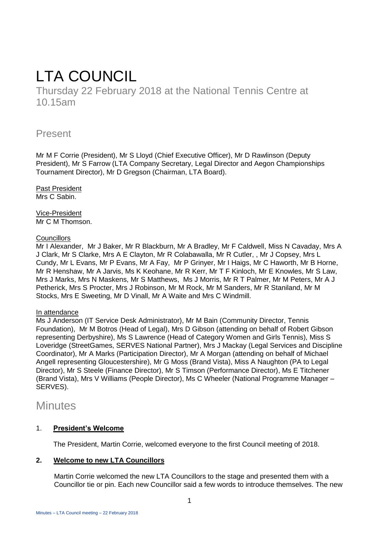# LTA COUNCIL

Thursday 22 February 2018 at the National Tennis Centre at 10.15am

# Present

Mr M F Corrie (President), Mr S Lloyd (Chief Executive Officer), Mr D Rawlinson (Deputy President), Mr S Farrow (LTA Company Secretary, Legal Director and Aegon Championships Tournament Director), Mr D Gregson (Chairman, LTA Board).

Past President Mrs C Sabin.

Vice-President Mr C M Thomson.

# **Councillors**

Mr I Alexander, Mr J Baker, Mr R Blackburn, Mr A Bradley, Mr F Caldwell, Miss N Cavaday, Mrs A J Clark, Mr S Clarke, Mrs A E Clayton, Mr R Colabawalla, Mr R Cutler, , Mr J Copsey, Mrs L Cundy, Mr L Evans, Mr P Evans, Mr A Fay, Mr P Grinyer, Mr I Haigs, Mr C Haworth, Mr B Horne, Mr R Henshaw, Mr A Jarvis, Ms K Keohane, Mr R Kerr, Mr T F Kinloch, Mr E Knowles, Mr S Law, Mrs J Marks, Mrs N Maskens, Mr S Matthews, Ms J Morris, Mr R T Palmer, Mr M Peters, Mr A J Petherick, Mrs S Procter, Mrs J Robinson, Mr M Rock, Mr M Sanders, Mr R Staniland, Mr M Stocks, Mrs E Sweeting, Mr D Vinall, Mr A Waite and Mrs C Windmill.

# In attendance

Ms J Anderson (IT Service Desk Administrator), Mr M Bain (Community Director, Tennis Foundation), Mr M Botros (Head of Legal), Mrs D Gibson (attending on behalf of Robert Gibson representing Derbyshire), Ms S Lawrence (Head of Category Women and Girls Tennis), Miss S Loveridge (StreetGames, SERVES National Partner), Mrs J Mackay (Legal Services and Discipline Coordinator), Mr A Marks (Participation Director), Mr A Morgan (attending on behalf of Michael Angell representing Gloucestershire), Mr G Moss (Brand Vista), Miss A Naughton (PA to Legal Director), Mr S Steele (Finance Director), Mr S Timson (Performance Director), Ms E Titchener (Brand Vista), Mrs V Williams (People Director), Ms C Wheeler (National Programme Manager – SERVES).

# **Minutes**

# 1. **President's Welcome**

The President, Martin Corrie, welcomed everyone to the first Council meeting of 2018.

# **2. Welcome to new LTA Councillors**

Martin Corrie welcomed the new LTA Councillors to the stage and presented them with a Councillor tie or pin. Each new Councillor said a few words to introduce themselves. The new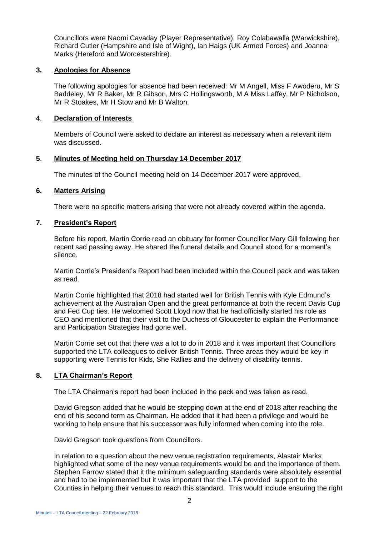Councillors were Naomi Cavaday (Player Representative), Roy Colabawalla (Warwickshire), Richard Cutler (Hampshire and Isle of Wight), Ian Haigs (UK Armed Forces) and Joanna Marks (Hereford and Worcestershire).

### **3. Apologies for Absence**

The following apologies for absence had been received: Mr M Angell, Miss F Awoderu, Mr S Baddeley, Mr R Baker, Mr R Gibson, Mrs C Hollingsworth, M A Miss Laffey, Mr P Nicholson, Mr R Stoakes, Mr H Stow and Mr B Walton.

#### **4**. **Declaration of Interests**

Members of Council were asked to declare an interest as necessary when a relevant item was discussed.

#### **5**. **Minutes of Meeting held on Thursday 14 December 2017**

The minutes of the Council meeting held on 14 December 2017 were approved,

#### **6. Matters Arising**

There were no specific matters arising that were not already covered within the agenda.

#### **7. President's Report**

Before his report, Martin Corrie read an obituary for former Councillor Mary Gill following her recent sad passing away. He shared the funeral details and Council stood for a moment's silence.

Martin Corrie's President's Report had been included within the Council pack and was taken as read.

Martin Corrie highlighted that 2018 had started well for British Tennis with Kyle Edmund's achievement at the Australian Open and the great performance at both the recent Davis Cup and Fed Cup ties. He welcomed Scott Lloyd now that he had officially started his role as CEO and mentioned that their visit to the Duchess of Gloucester to explain the Performance and Participation Strategies had gone well.

Martin Corrie set out that there was a lot to do in 2018 and it was important that Councillors supported the LTA colleagues to deliver British Tennis. Three areas they would be key in supporting were Tennis for Kids, She Rallies and the delivery of disability tennis.

# **8. LTA Chairman's Report**

The LTA Chairman's report had been included in the pack and was taken as read.

David Gregson added that he would be stepping down at the end of 2018 after reaching the end of his second term as Chairman. He added that it had been a privilege and would be working to help ensure that his successor was fully informed when coming into the role.

David Gregson took questions from Councillors.

In relation to a question about the new venue registration requirements, Alastair Marks highlighted what some of the new venue requirements would be and the importance of them. Stephen Farrow stated that it the minimum safeguarding standards were absolutely essential and had to be implemented but it was important that the LTA provided support to the Counties in helping their venues to reach this standard. This would include ensuring the right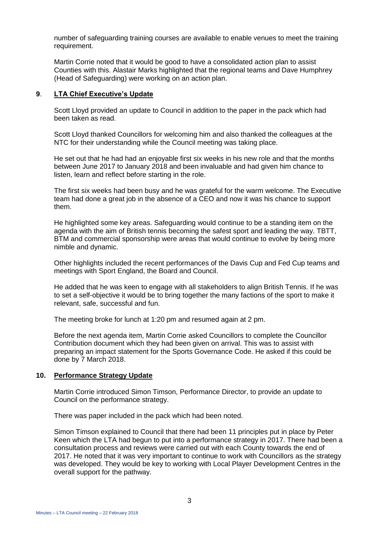number of safeguarding training courses are available to enable venues to meet the training requirement.

Martin Corrie noted that it would be good to have a consolidated action plan to assist Counties with this. Alastair Marks highlighted that the regional teams and Dave Humphrey (Head of Safeguarding) were working on an action plan.

# **9**. **LTA Chief Executive's Update**

Scott Lloyd provided an update to Council in addition to the paper in the pack which had been taken as read.

Scott Lloyd thanked Councillors for welcoming him and also thanked the colleagues at the NTC for their understanding while the Council meeting was taking place.

He set out that he had had an enjoyable first six weeks in his new role and that the months between June 2017 to January 2018 and been invaluable and had given him chance to listen, learn and reflect before starting in the role.

The first six weeks had been busy and he was grateful for the warm welcome. The Executive team had done a great job in the absence of a CEO and now it was his chance to support them.

He highlighted some key areas. Safeguarding would continue to be a standing item on the agenda with the aim of British tennis becoming the safest sport and leading the way. TBTT, BTM and commercial sponsorship were areas that would continue to evolve by being more nimble and dynamic.

Other highlights included the recent performances of the Davis Cup and Fed Cup teams and meetings with Sport England, the Board and Council.

He added that he was keen to engage with all stakeholders to align British Tennis. If he was to set a self-objective it would be to bring together the many factions of the sport to make it relevant, safe, successful and fun.

The meeting broke for lunch at 1:20 pm and resumed again at 2 pm.

Before the next agenda item, Martin Corrie asked Councillors to complete the Councillor Contribution document which they had been given on arrival. This was to assist with preparing an impact statement for the Sports Governance Code. He asked if this could be done by 7 March 2018.

# **10. Performance Strategy Update**

Martin Corrie introduced Simon Timson, Performance Director, to provide an update to Council on the performance strategy.

There was paper included in the pack which had been noted.

Simon Timson explained to Council that there had been 11 principles put in place by Peter Keen which the LTA had begun to put into a performance strategy in 2017. There had been a consultation process and reviews were carried out with each County towards the end of 2017. He noted that it was very important to continue to work with Councillors as the strategy was developed. They would be key to working with Local Player Development Centres in the overall support for the pathway.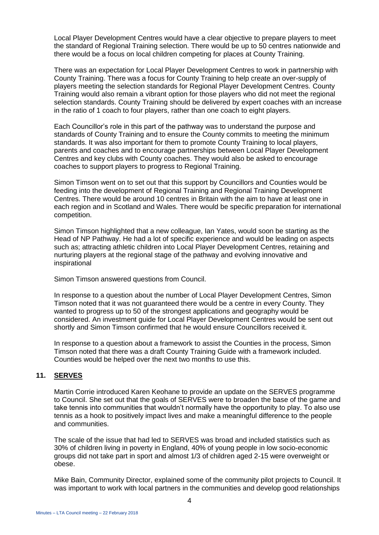Local Player Development Centres would have a clear objective to prepare players to meet the standard of Regional Training selection. There would be up to 50 centres nationwide and there would be a focus on local children competing for places at County Training.

There was an expectation for Local Player Development Centres to work in partnership with County Training. There was a focus for County Training to help create an over-supply of players meeting the selection standards for Regional Player Development Centres. County Training would also remain a vibrant option for those players who did not meet the regional selection standards. County Training should be delivered by expert coaches with an increase in the ratio of 1 coach to four players, rather than one coach to eight players.

Each Councillor's role in this part of the pathway was to understand the purpose and standards of County Training and to ensure the County commits to meeting the minimum standards. It was also important for them to promote County Training to local players, parents and coaches and to encourage partnerships between Local Player Development Centres and key clubs with County coaches. They would also be asked to encourage coaches to support players to progress to Regional Training.

Simon Timson went on to set out that this support by Councillors and Counties would be feeding into the development of Regional Training and Regional Training Development Centres. There would be around 10 centres in Britain with the aim to have at least one in each region and in Scotland and Wales. There would be specific preparation for international competition.

Simon Timson highlighted that a new colleague, Ian Yates, would soon be starting as the Head of NP Pathway. He had a lot of specific experience and would be leading on aspects such as; attracting athletic children into Local Player Development Centres, retaining and nurturing players at the regional stage of the pathway and evolving innovative and inspirational

Simon Timson answered questions from Council.

In response to a question about the number of Local Player Development Centres, Simon Timson noted that it was not guaranteed there would be a centre in every County. They wanted to progress up to 50 of the strongest applications and geography would be considered. An investment guide for Local Player Development Centres would be sent out shortly and Simon Timson confirmed that he would ensure Councillors received it.

In response to a question about a framework to assist the Counties in the process, Simon Timson noted that there was a draft County Training Guide with a framework included. Counties would be helped over the next two months to use this.

# **11. SERVES**

Martin Corrie introduced Karen Keohane to provide an update on the SERVES programme to Council. She set out that the goals of SERVES were to broaden the base of the game and take tennis into communities that wouldn't normally have the opportunity to play. To also use tennis as a hook to positively impact lives and make a meaningful difference to the people and communities.

The scale of the issue that had led to SERVES was broad and included statistics such as 30% of children living in poverty in England, 40% of young people in low socio-economic groups did not take part in sport and almost 1/3 of children aged 2-15 were overweight or obese.

Mike Bain, Community Director, explained some of the community pilot projects to Council. It was important to work with local partners in the communities and develop good relationships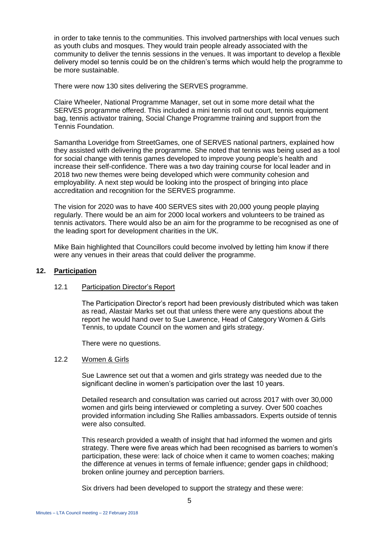in order to take tennis to the communities. This involved partnerships with local venues such as youth clubs and mosques. They would train people already associated with the community to deliver the tennis sessions in the venues. It was important to develop a flexible delivery model so tennis could be on the children's terms which would help the programme to be more sustainable.

There were now 130 sites delivering the SERVES programme.

Claire Wheeler, National Programme Manager, set out in some more detail what the SERVES programme offered. This included a mini tennis roll out court, tennis equipment bag, tennis activator training, Social Change Programme training and support from the Tennis Foundation.

Samantha Loveridge from StreetGames, one of SERVES national partners, explained how they assisted with delivering the programme. She noted that tennis was being used as a tool for social change with tennis games developed to improve young people's health and increase their self-confidence. There was a two day training course for local leader and in 2018 two new themes were being developed which were community cohesion and employability. A next step would be looking into the prospect of bringing into place accreditation and recognition for the SERVES programme.

The vision for 2020 was to have 400 SERVES sites with 20,000 young people playing regularly. There would be an aim for 2000 local workers and volunteers to be trained as tennis activators. There would also be an aim for the programme to be recognised as one of the leading sport for development charities in the UK.

Mike Bain highlighted that Councillors could become involved by letting him know if there were any venues in their areas that could deliver the programme.

#### **12. Participation**

#### 12.1 Participation Director's Report

The Participation Director's report had been previously distributed which was taken as read, Alastair Marks set out that unless there were any questions about the report he would hand over to Sue Lawrence, Head of Category Women & Girls Tennis, to update Council on the women and girls strategy.

There were no questions.

### 12.2 Women & Girls

Sue Lawrence set out that a women and girls strategy was needed due to the significant decline in women's participation over the last 10 years.

Detailed research and consultation was carried out across 2017 with over 30,000 women and girls being interviewed or completing a survey. Over 500 coaches provided information including She Rallies ambassadors. Experts outside of tennis were also consulted.

This research provided a wealth of insight that had informed the women and girls strategy. There were five areas which had been recognised as barriers to women's participation, these were: lack of choice when it came to women coaches; making the difference at venues in terms of female influence; gender gaps in childhood; broken online journey and perception barriers.

Six drivers had been developed to support the strategy and these were: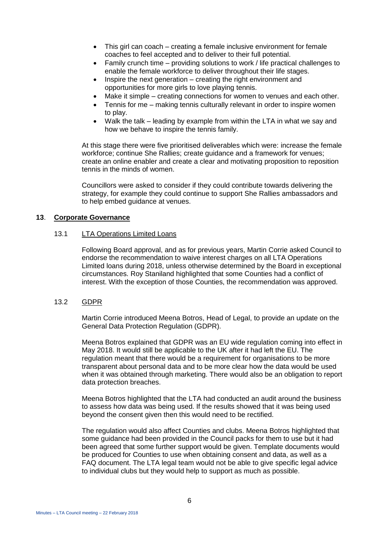- This girl can coach creating a female inclusive environment for female coaches to feel accepted and to deliver to their full potential.
- Family crunch time providing solutions to work / life practical challenges to enable the female workforce to deliver throughout their life stages.
- Inspire the next generation creating the right environment and opportunities for more girls to love playing tennis.
- Make it simple creating connections for women to venues and each other.
- Tennis for me making tennis culturally relevant in order to inspire women to play.
- Walk the talk leading by example from within the LTA in what we say and how we behave to inspire the tennis family.

At this stage there were five prioritised deliverables which were: increase the female workforce; continue She Rallies; create guidance and a framework for venues; create an online enabler and create a clear and motivating proposition to reposition tennis in the minds of women.

Councillors were asked to consider if they could contribute towards delivering the strategy, for example they could continue to support She Rallies ambassadors and to help embed guidance at venues.

#### **13**. **Corporate Governance**

#### 13.1 LTA Operations Limited Loans

Following Board approval, and as for previous years, Martin Corrie asked Council to endorse the recommendation to waive interest charges on all LTA Operations Limited loans during 2018, unless otherwise determined by the Board in exceptional circumstances. Roy Staniland highlighted that some Counties had a conflict of interest. With the exception of those Counties, the recommendation was approved.

#### 13.2 GDPR

Martin Corrie introduced Meena Botros, Head of Legal, to provide an update on the General Data Protection Regulation (GDPR).

Meena Botros explained that GDPR was an EU wide regulation coming into effect in May 2018. It would still be applicable to the UK after it had left the EU. The regulation meant that there would be a requirement for organisations to be more transparent about personal data and to be more clear how the data would be used when it was obtained through marketing. There would also be an obligation to report data protection breaches.

Meena Botros highlighted that the LTA had conducted an audit around the business to assess how data was being used. If the results showed that it was being used beyond the consent given then this would need to be rectified.

The regulation would also affect Counties and clubs. Meena Botros highlighted that some guidance had been provided in the Council packs for them to use but it had been agreed that some further support would be given. Template documents would be produced for Counties to use when obtaining consent and data, as well as a FAQ document. The LTA legal team would not be able to give specific legal advice to individual clubs but they would help to support as much as possible.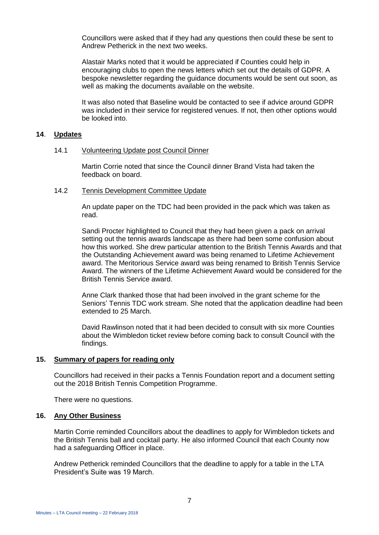Councillors were asked that if they had any questions then could these be sent to Andrew Petherick in the next two weeks.

Alastair Marks noted that it would be appreciated if Counties could help in encouraging clubs to open the news letters which set out the details of GDPR. A bespoke newsletter regarding the guidance documents would be sent out soon, as well as making the documents available on the website.

It was also noted that Baseline would be contacted to see if advice around GDPR was included in their service for registered venues. If not, then other options would be looked into.

#### **14**. **Updates**

#### 14.1 Volunteering Update post Council Dinner

Martin Corrie noted that since the Council dinner Brand Vista had taken the feedback on board.

#### 14.2 Tennis Development Committee Update

An update paper on the TDC had been provided in the pack which was taken as read.

Sandi Procter highlighted to Council that they had been given a pack on arrival setting out the tennis awards landscape as there had been some confusion about how this worked. She drew particular attention to the British Tennis Awards and that the Outstanding Achievement award was being renamed to Lifetime Achievement award. The Meritorious Service award was being renamed to British Tennis Service Award. The winners of the Lifetime Achievement Award would be considered for the British Tennis Service award.

Anne Clark thanked those that had been involved in the grant scheme for the Seniors' Tennis TDC work stream. She noted that the application deadline had been extended to 25 March.

David Rawlinson noted that it had been decided to consult with six more Counties about the Wimbledon ticket review before coming back to consult Council with the findings.

#### **15. Summary of papers for reading only**

Councillors had received in their packs a Tennis Foundation report and a document setting out the 2018 British Tennis Competition Programme.

There were no questions.

#### **16. Any Other Business**

Martin Corrie reminded Councillors about the deadlines to apply for Wimbledon tickets and the British Tennis ball and cocktail party. He also informed Council that each County now had a safeguarding Officer in place.

Andrew Petherick reminded Councillors that the deadline to apply for a table in the LTA President's Suite was 19 March.